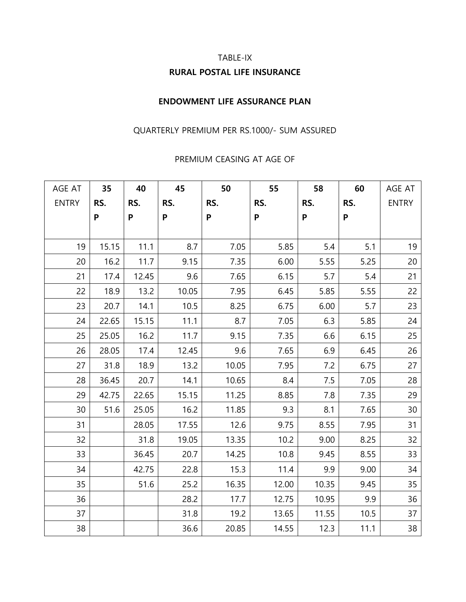# TABLE-IX **RURAL POSTAL LIFE INSURANCE**

### **ENDOWMENT LIFE ASSURANCE PLAN**

## QUARTERLY PREMIUM PER RS.1000/- SUM ASSURED

#### PREMIUM CEASING AT AGE OF

| AGE AT       | 35    | 40    | 45    | 50    | 55                        | 58    | 60                        | AGE AT       |
|--------------|-------|-------|-------|-------|---------------------------|-------|---------------------------|--------------|
| <b>ENTRY</b> | RS.   | RS.   | RS.   | RS.   | RS.                       | RS.   | RS.                       | <b>ENTRY</b> |
|              | P     | P     | P     | P     | $\boldsymbol{\mathsf{P}}$ | P     | $\boldsymbol{\mathsf{P}}$ |              |
|              |       |       |       |       |                           |       |                           |              |
| 19           | 15.15 | 11.1  | 8.7   | 7.05  | 5.85                      | 5.4   | 5.1                       | 19           |
| 20           | 16.2  | 11.7  | 9.15  | 7.35  | 6.00                      | 5.55  | 5.25                      | 20           |
| 21           | 17.4  | 12.45 | 9.6   | 7.65  | 6.15                      | 5.7   | 5.4                       | 21           |
| 22           | 18.9  | 13.2  | 10.05 | 7.95  | 6.45                      | 5.85  | 5.55                      | 22           |
| 23           | 20.7  | 14.1  | 10.5  | 8.25  | 6.75                      | 6.00  | 5.7                       | 23           |
| 24           | 22.65 | 15.15 | 11.1  | 8.7   | 7.05                      | 6.3   | 5.85                      | 24           |
| 25           | 25.05 | 16.2  | 11.7  | 9.15  | 7.35                      | 6.6   | 6.15                      | 25           |
| 26           | 28.05 | 17.4  | 12.45 | 9.6   | 7.65                      | 6.9   | 6.45                      | 26           |
| 27           | 31.8  | 18.9  | 13.2  | 10.05 | 7.95                      | 7.2   | 6.75                      | 27           |
| 28           | 36.45 | 20.7  | 14.1  | 10.65 | 8.4                       | 7.5   | 7.05                      | 28           |
| 29           | 42.75 | 22.65 | 15.15 | 11.25 | 8.85                      | 7.8   | 7.35                      | 29           |
| 30           | 51.6  | 25.05 | 16.2  | 11.85 | 9.3                       | 8.1   | 7.65                      | 30           |
| 31           |       | 28.05 | 17.55 | 12.6  | 9.75                      | 8.55  | 7.95                      | 31           |
| 32           |       | 31.8  | 19.05 | 13.35 | 10.2                      | 9.00  | 8.25                      | 32           |
| 33           |       | 36.45 | 20.7  | 14.25 | 10.8                      | 9.45  | 8.55                      | 33           |
| 34           |       | 42.75 | 22.8  | 15.3  | 11.4                      | 9.9   | 9.00                      | 34           |
| 35           |       | 51.6  | 25.2  | 16.35 | 12.00                     | 10.35 | 9.45                      | 35           |
| 36           |       |       | 28.2  | 17.7  | 12.75                     | 10.95 | 9.9                       | 36           |
| 37           |       |       | 31.8  | 19.2  | 13.65                     | 11.55 | 10.5                      | 37           |
| 38           |       |       | 36.6  | 20.85 | 14.55                     | 12.3  | 11.1                      | 38           |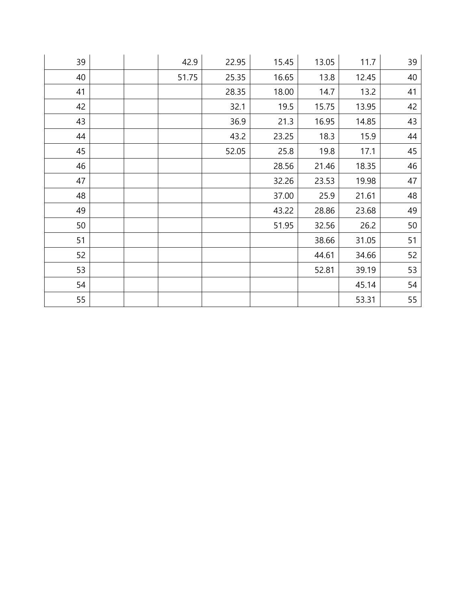| 39 |  | 42.9  | 22.95 | 15.45 | 13.05 | 11.7  | 39 |
|----|--|-------|-------|-------|-------|-------|----|
| 40 |  | 51.75 | 25.35 | 16.65 | 13.8  | 12.45 | 40 |
| 41 |  |       | 28.35 | 18.00 | 14.7  | 13.2  | 41 |
| 42 |  |       | 32.1  | 19.5  | 15.75 | 13.95 | 42 |
| 43 |  |       | 36.9  | 21.3  | 16.95 | 14.85 | 43 |
| 44 |  |       | 43.2  | 23.25 | 18.3  | 15.9  | 44 |
| 45 |  |       | 52.05 | 25.8  | 19.8  | 17.1  | 45 |
| 46 |  |       |       | 28.56 | 21.46 | 18.35 | 46 |
| 47 |  |       |       | 32.26 | 23.53 | 19.98 | 47 |
| 48 |  |       |       | 37.00 | 25.9  | 21.61 | 48 |
| 49 |  |       |       | 43.22 | 28.86 | 23.68 | 49 |
| 50 |  |       |       | 51.95 | 32.56 | 26.2  | 50 |
| 51 |  |       |       |       | 38.66 | 31.05 | 51 |
| 52 |  |       |       |       | 44.61 | 34.66 | 52 |
| 53 |  |       |       |       | 52.81 | 39.19 | 53 |
| 54 |  |       |       |       |       | 45.14 | 54 |
| 55 |  |       |       |       |       | 53.31 | 55 |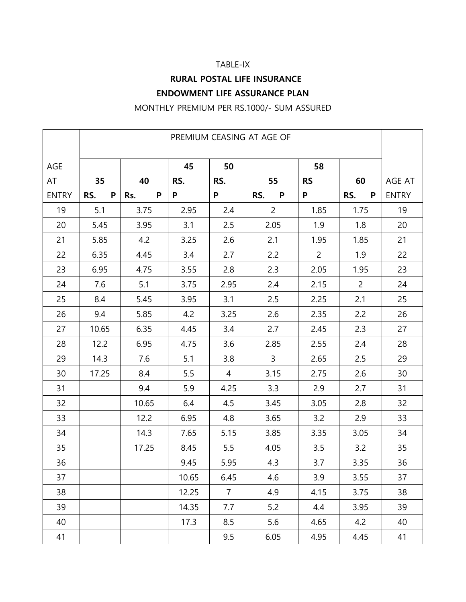## TABLE-IX

# **RURAL POSTAL LIFE INSURANCE ENDOWMENT LIFE ASSURANCE PLAN**

MONTHLY PREMIUM PER RS.1000/- SUM ASSURED

|              | PREMIUM CEASING AT AGE OF |          |       |                |                |                |                |              |  |
|--------------|---------------------------|----------|-------|----------------|----------------|----------------|----------------|--------------|--|
| AGE          |                           |          | 45    | 50             |                | 58             |                |              |  |
| AT           | 35                        | 40       | RS.   | RS.            | 55             | <b>RS</b>      | 60             | AGE AT       |  |
| <b>ENTRY</b> | ${\sf P}$<br>RS.          | P<br>Rs. | P     | P              | RS.<br>P       | P              | RS.<br>P       | <b>ENTRY</b> |  |
| 19           | 5.1                       | 3.75     | 2.95  | 2.4            | $\overline{2}$ | 1.85           | 1.75           | 19           |  |
| 20           | 5.45                      | 3.95     | 3.1   | 2.5            | 2.05           | 1.9            | 1.8            | 20           |  |
| 21           | 5.85                      | 4.2      | 3.25  | 2.6            | 2.1            | 1.95           | 1.85           | 21           |  |
| 22           | 6.35                      | 4.45     | 3.4   | 2.7            | 2.2            | $\overline{c}$ | 1.9            | 22           |  |
| 23           | 6.95                      | 4.75     | 3.55  | 2.8            | 2.3            | 2.05           | 1.95           | 23           |  |
| 24           | 7.6                       | 5.1      | 3.75  | 2.95           | 2.4            | 2.15           | $\overline{2}$ | 24           |  |
| 25           | 8.4                       | 5.45     | 3.95  | 3.1            | 2.5            | 2.25           | 2.1            | 25           |  |
| 26           | 9.4                       | 5.85     | 4.2   | 3.25           | 2.6            | 2.35           | 2.2            | 26           |  |
| 27           | 10.65                     | 6.35     | 4.45  | 3.4            | 2.7            | 2.45           | 2.3            | 27           |  |
| 28           | 12.2                      | 6.95     | 4.75  | 3.6            | 2.85           | 2.55           | 2.4            | 28           |  |
| 29           | 14.3                      | 7.6      | 5.1   | 3.8            | 3              | 2.65           | 2.5            | 29           |  |
| 30           | 17.25                     | 8.4      | 5.5   | 4              | 3.15           | 2.75           | 2.6            | 30           |  |
| 31           |                           | 9.4      | 5.9   | 4.25           | 3.3            | 2.9            | 2.7            | 31           |  |
| 32           |                           | 10.65    | 6.4   | 4.5            | 3.45           | 3.05           | 2.8            | 32           |  |
| 33           |                           | 12.2     | 6.95  | 4.8            | 3.65           | 3.2            | 2.9            | 33           |  |
| 34           |                           | 14.3     | 7.65  | 5.15           | 3.85           | 3.35           | 3.05           | 34           |  |
| 35           |                           | 17.25    | 8.45  | 5.5            | 4.05           | 3.5            | 3.2            | 35           |  |
| 36           |                           |          | 9.45  | 5.95           | 4.3            | 3.7            | 3.35           | 36           |  |
| 37           |                           |          | 10.65 | 6.45           | 4.6            | 3.9            | 3.55           | 37           |  |
| 38           |                           |          | 12.25 | $\overline{7}$ | 4.9            | 4.15           | 3.75           | 38           |  |
| 39           |                           |          | 14.35 | 7.7            | 5.2            | 4.4            | 3.95           | 39           |  |
| 40           |                           |          | 17.3  | 8.5            | 5.6            | 4.65           | 4.2            | 40           |  |
| 41           |                           |          |       | 9.5            | 6.05           | 4.95           | 4.45           | 41           |  |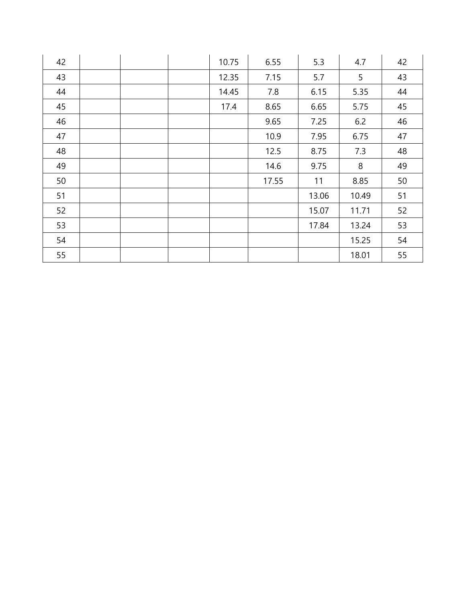| 42 |  | 10.75 | 6.55  | 5.3   | 4.7   | 42 |
|----|--|-------|-------|-------|-------|----|
| 43 |  | 12.35 | 7.15  | 5.7   | 5     | 43 |
| 44 |  | 14.45 | 7.8   | 6.15  | 5.35  | 44 |
| 45 |  | 17.4  | 8.65  | 6.65  | 5.75  | 45 |
| 46 |  |       | 9.65  | 7.25  | 6.2   | 46 |
| 47 |  |       | 10.9  | 7.95  | 6.75  | 47 |
| 48 |  |       | 12.5  | 8.75  | 7.3   | 48 |
| 49 |  |       | 14.6  | 9.75  | 8     | 49 |
| 50 |  |       | 17.55 | 11    | 8.85  | 50 |
| 51 |  |       |       | 13.06 | 10.49 | 51 |
| 52 |  |       |       | 15.07 | 11.71 | 52 |
| 53 |  |       |       | 17.84 | 13.24 | 53 |
| 54 |  |       |       |       | 15.25 | 54 |
| 55 |  |       |       |       | 18.01 | 55 |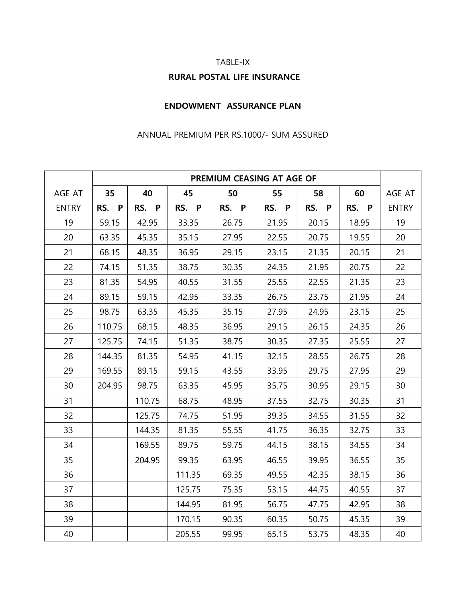#### TABLE-IX

# **RURAL POSTAL LIFE INSURANCE**

### **ENDOWMENT ASSURANCE PLAN**

### ANNUAL PREMIUM PER RS.1000/- SUM ASSURED

|              | PREMIUM CEASING AT AGE OF |        |        |       |       |       |       |              |
|--------------|---------------------------|--------|--------|-------|-------|-------|-------|--------------|
| AGE AT       | 35                        | 40     | 45     | 50    | 55    | 58    | 60    | AGE AT       |
| <b>ENTRY</b> | RS. P                     | RS. P  | RS. P  | RS. P | RS. P | RS. P | RS. P | <b>ENTRY</b> |
| 19           | 59.15                     | 42.95  | 33.35  | 26.75 | 21.95 | 20.15 | 18.95 | 19           |
| 20           | 63.35                     | 45.35  | 35.15  | 27.95 | 22.55 | 20.75 | 19.55 | 20           |
| 21           | 68.15                     | 48.35  | 36.95  | 29.15 | 23.15 | 21.35 | 20.15 | 21           |
| 22           | 74.15                     | 51.35  | 38.75  | 30.35 | 24.35 | 21.95 | 20.75 | 22           |
| 23           | 81.35                     | 54.95  | 40.55  | 31.55 | 25.55 | 22.55 | 21.35 | 23           |
| 24           | 89.15                     | 59.15  | 42.95  | 33.35 | 26.75 | 23.75 | 21.95 | 24           |
| 25           | 98.75                     | 63.35  | 45.35  | 35.15 | 27.95 | 24.95 | 23.15 | 25           |
| 26           | 110.75                    | 68.15  | 48.35  | 36.95 | 29.15 | 26.15 | 24.35 | 26           |
| 27           | 125.75                    | 74.15  | 51.35  | 38.75 | 30.35 | 27.35 | 25.55 | 27           |
| 28           | 144.35                    | 81.35  | 54.95  | 41.15 | 32.15 | 28.55 | 26.75 | 28           |
| 29           | 169.55                    | 89.15  | 59.15  | 43.55 | 33.95 | 29.75 | 27.95 | 29           |
| 30           | 204.95                    | 98.75  | 63.35  | 45.95 | 35.75 | 30.95 | 29.15 | 30           |
| 31           |                           | 110.75 | 68.75  | 48.95 | 37.55 | 32.75 | 30.35 | 31           |
| 32           |                           | 125.75 | 74.75  | 51.95 | 39.35 | 34.55 | 31.55 | 32           |
| 33           |                           | 144.35 | 81.35  | 55.55 | 41.75 | 36.35 | 32.75 | 33           |
| 34           |                           | 169.55 | 89.75  | 59.75 | 44.15 | 38.15 | 34.55 | 34           |
| 35           |                           | 204.95 | 99.35  | 63.95 | 46.55 | 39.95 | 36.55 | 35           |
| 36           |                           |        | 111.35 | 69.35 | 49.55 | 42.35 | 38.15 | 36           |
| 37           |                           |        | 125.75 | 75.35 | 53.15 | 44.75 | 40.55 | 37           |
| 38           |                           |        | 144.95 | 81.95 | 56.75 | 47.75 | 42.95 | 38           |
| 39           |                           |        | 170.15 | 90.35 | 60.35 | 50.75 | 45.35 | 39           |
| 40           |                           |        | 205.55 | 99.95 | 65.15 | 53.75 | 48.35 | 40           |